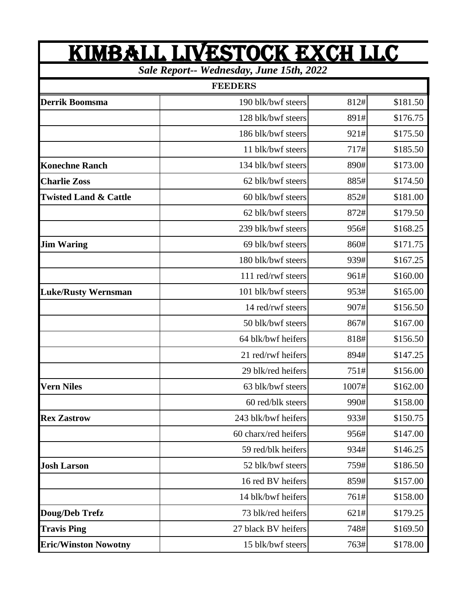## KIMBALL LIVESTOCK EXch LLC

*Sale Report-- Wednesday, June 15th, 2022*

| <b>FEEDERS</b>                   |                      |       |          |  |
|----------------------------------|----------------------|-------|----------|--|
| <b>Derrik Boomsma</b>            | 190 blk/bwf steers   | 812#  | \$181.50 |  |
|                                  | 128 blk/bwf steers   | 891#  | \$176.75 |  |
|                                  | 186 blk/bwf steers   | 921#  | \$175.50 |  |
|                                  | 11 blk/bwf steers    | 717#  | \$185.50 |  |
| <b>Konechne Ranch</b>            | 134 blk/bwf steers   | 890#  | \$173.00 |  |
| <b>Charlie Zoss</b>              | 62 blk/bwf steers    | 885#  | \$174.50 |  |
| <b>Twisted Land &amp; Cattle</b> | 60 blk/bwf steers    | 852#  | \$181.00 |  |
|                                  | 62 blk/bwf steers    | 872#  | \$179.50 |  |
|                                  | 239 blk/bwf steers   | 956#  | \$168.25 |  |
| <b>Jim Waring</b>                | 69 blk/bwf steers    | 860#  | \$171.75 |  |
|                                  | 180 blk/bwf steers   | 939#  | \$167.25 |  |
|                                  | 111 red/rwf steers   | 961#  | \$160.00 |  |
| <b>Luke/Rusty Wernsman</b>       | 101 blk/bwf steers   | 953#  | \$165.00 |  |
|                                  | 14 red/rwf steers    | 907#  | \$156.50 |  |
|                                  | 50 blk/bwf steers    | 867#  | \$167.00 |  |
|                                  | 64 blk/bwf heifers   | 818#  | \$156.50 |  |
|                                  | 21 red/rwf heifers   | 894#  | \$147.25 |  |
|                                  | 29 blk/red heifers   | 751#  | \$156.00 |  |
| <b>Vern Niles</b>                | 63 blk/bwf steers    | 1007# | \$162.00 |  |
|                                  | 60 red/blk steers    | 990#  | \$158.00 |  |
| <b>Rex Zastrow</b>               | 243 blk/bwf heifers  | 933#  | \$150.75 |  |
|                                  | 60 charx/red heifers | 956#  | \$147.00 |  |
|                                  | 59 red/blk heifers   | 934#  | \$146.25 |  |
| <b>Josh Larson</b>               | 52 blk/bwf steers    | 759#  | \$186.50 |  |
|                                  | 16 red BV heifers    | 859#  | \$157.00 |  |
|                                  | 14 blk/bwf heifers   | 761#  | \$158.00 |  |
| Doug/Deb Trefz                   | 73 blk/red heifers   | 621#  | \$179.25 |  |
| <b>Travis Ping</b>               | 27 black BV heifers  | 748#  | \$169.50 |  |
| <b>Eric/Winston Nowotny</b>      | 15 blk/bwf steers    | 763#  | \$178.00 |  |